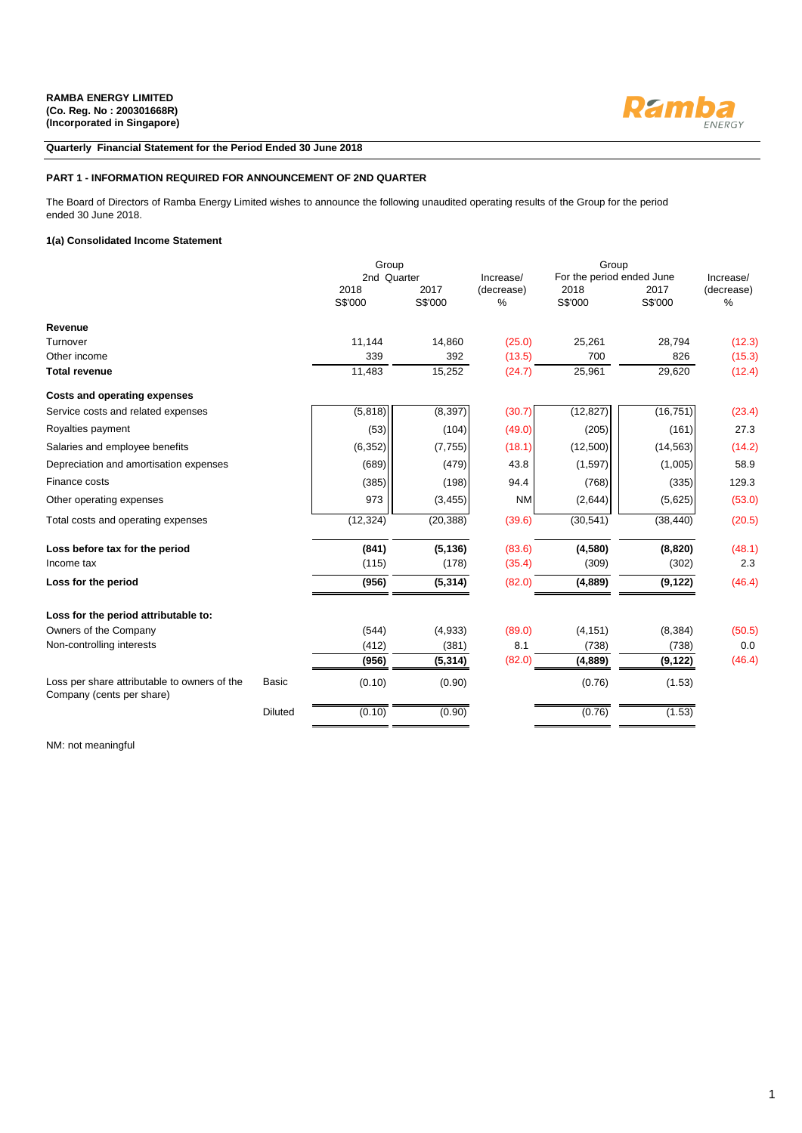

### **Quarterly Financial Statement for the Period Ended 30 June 2018**

### **PART 1 - INFORMATION REQUIRED FOR ANNOUNCEMENT OF 2ND QUARTER**

The Board of Directors of Ramba Energy Limited wishes to announce the following unaudited operating results of the Group for the period ended 30 June 2018.

### **1(a) Consolidated Income Statement**

|                                                                           |                | Group           |                 |                    |                           |                 |                    |
|---------------------------------------------------------------------------|----------------|-----------------|-----------------|--------------------|---------------------------|-----------------|--------------------|
|                                                                           |                | 2nd Quarter     |                 | Increase/          | For the period ended June |                 | Increase/          |
|                                                                           |                | 2018<br>S\$'000 | 2017<br>S\$'000 | (decrease)<br>$\%$ | 2018<br>S\$'000           | 2017<br>S\$'000 | (decrease)<br>$\%$ |
| Revenue                                                                   |                |                 |                 |                    |                           |                 |                    |
| Turnover                                                                  |                | 11.144          | 14.860          | (25.0)             | 25,261                    | 28.794          | (12.3)             |
| Other income                                                              |                | 339             | 392             | (13.5)             | 700                       | 826             | (15.3)             |
| <b>Total revenue</b>                                                      |                | 11,483          | 15,252          | (24.7)             | 25,961                    | 29,620          | (12.4)             |
| <b>Costs and operating expenses</b>                                       |                |                 |                 |                    |                           |                 |                    |
| Service costs and related expenses                                        |                | (5,818)         | (8, 397)        | (30.7)             | (12, 827)                 | (16, 751)       | (23.4)             |
| Royalties payment                                                         |                | (53)            | (104)           | (49.0)             | (205)                     | (161)           | 27.3               |
| Salaries and employee benefits                                            |                | (6, 352)        | (7, 755)        | (18.1)             | (12,500)                  | (14, 563)       | (14.2)             |
| Depreciation and amortisation expenses                                    |                | (689)           | (479)           | 43.8               | (1, 597)                  | (1,005)         | 58.9               |
| Finance costs                                                             |                | (385)           | (198)           | 94.4               | (768)                     | (335)           | 129.3              |
| Other operating expenses                                                  |                | 973             | (3, 455)        | <b>NM</b>          | (2,644)                   | (5,625)         | (53.0)             |
| Total costs and operating expenses                                        |                | (12, 324)       | (20, 388)       | (39.6)             | (30, 541)                 | (38, 440)       | (20.5)             |
| Loss before tax for the period                                            |                | (841)           | (5, 136)        | (83.6)             | (4,580)                   | (8,820)         | (48.1)             |
| Income tax                                                                |                | (115)           | (178)           | (35.4)             | (309)                     | (302)           | 2.3                |
| Loss for the period                                                       |                | (956)           | (5, 314)        | (82.0)             | (4,889)                   | (9, 122)        | (46.4)             |
| Loss for the period attributable to:                                      |                |                 |                 |                    |                           |                 |                    |
| Owners of the Company                                                     |                | (544)           | (4,933)         | (89.0)             | (4, 151)                  | (8, 384)        | (50.5)             |
| Non-controlling interests                                                 |                | (412)           | (381)           | 8.1                | (738)                     | (738)           | 0.0                |
|                                                                           |                | (956)           | (5, 314)        | (82.0)             | (4,889)                   | (9, 122)        | (46.4)             |
| Loss per share attributable to owners of the<br>Company (cents per share) | <b>Basic</b>   | (0.10)          | (0.90)          |                    | (0.76)                    | (1.53)          |                    |
|                                                                           | <b>Diluted</b> | (0.10)          | (0.90)          |                    | (0.76)                    | (1.53)          |                    |

NM: not meaningful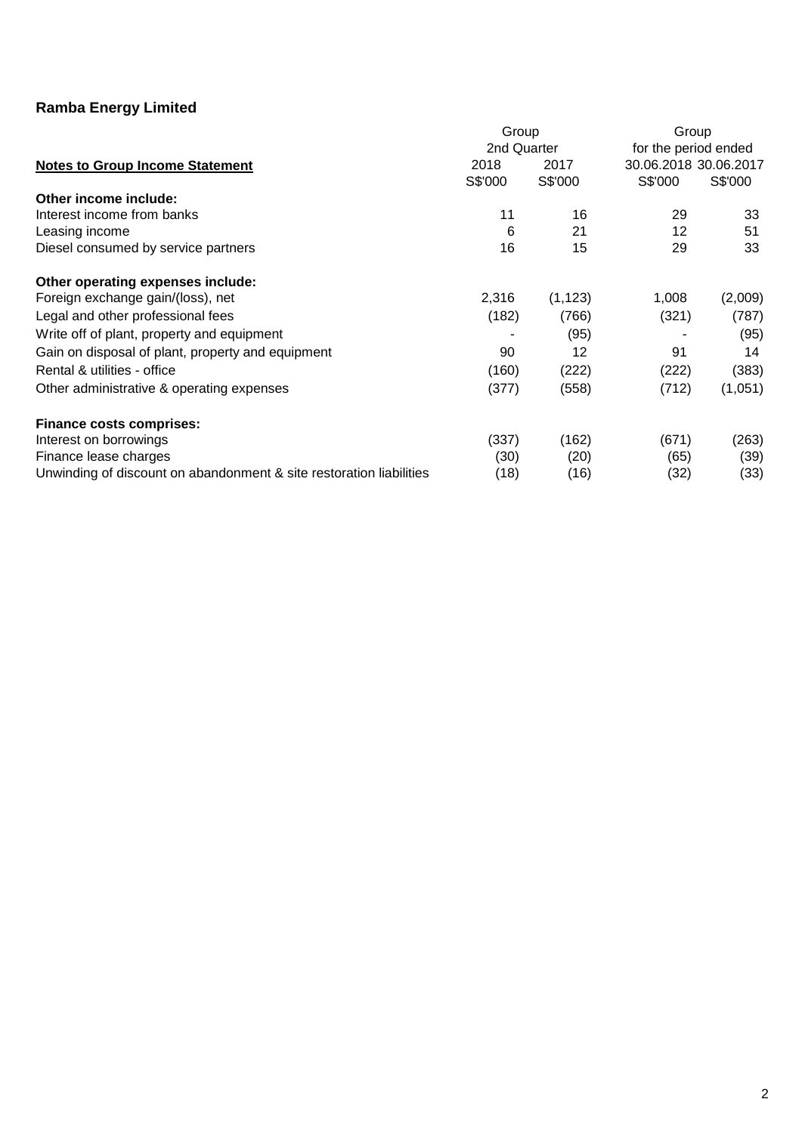|                                                                     | Group       |          | Group                 |         |
|---------------------------------------------------------------------|-------------|----------|-----------------------|---------|
|                                                                     | 2nd Quarter |          | for the period ended  |         |
| <b>Notes to Group Income Statement</b>                              | 2018        | 2017     | 30.06.2018 30.06.2017 |         |
|                                                                     | S\$'000     | S\$'000  | S\$'000               | S\$'000 |
| Other income include:                                               |             |          |                       |         |
| Interest income from banks                                          | 11          | 16       | 29                    | 33      |
| Leasing income                                                      | 6           | 21       | 12                    | 51      |
| Diesel consumed by service partners                                 | 16          | 15       | 29                    | 33      |
| Other operating expenses include:                                   |             |          |                       |         |
| Foreign exchange gain/(loss), net                                   | 2,316       | (1, 123) | 1,008                 | (2,009) |
| Legal and other professional fees                                   | (182)       | (766)    | (321)                 | (787)   |
| Write off of plant, property and equipment                          |             | (95)     |                       | (95)    |
| Gain on disposal of plant, property and equipment                   | 90          | 12       | 91                    | 14      |
| Rental & utilities - office                                         | (160)       | (222)    | (222)                 | (383)   |
| Other administrative & operating expenses                           | (377)       | (558)    | (712)                 | (1,051) |
| <b>Finance costs comprises:</b>                                     |             |          |                       |         |
| Interest on borrowings                                              | (337)       | (162)    | (671)                 | (263)   |
| Finance lease charges                                               | (30)        | (20)     | (65)                  | (39)    |
| Unwinding of discount on abandonment & site restoration liabilities | (18)        | (16)     | (32)                  | (33)    |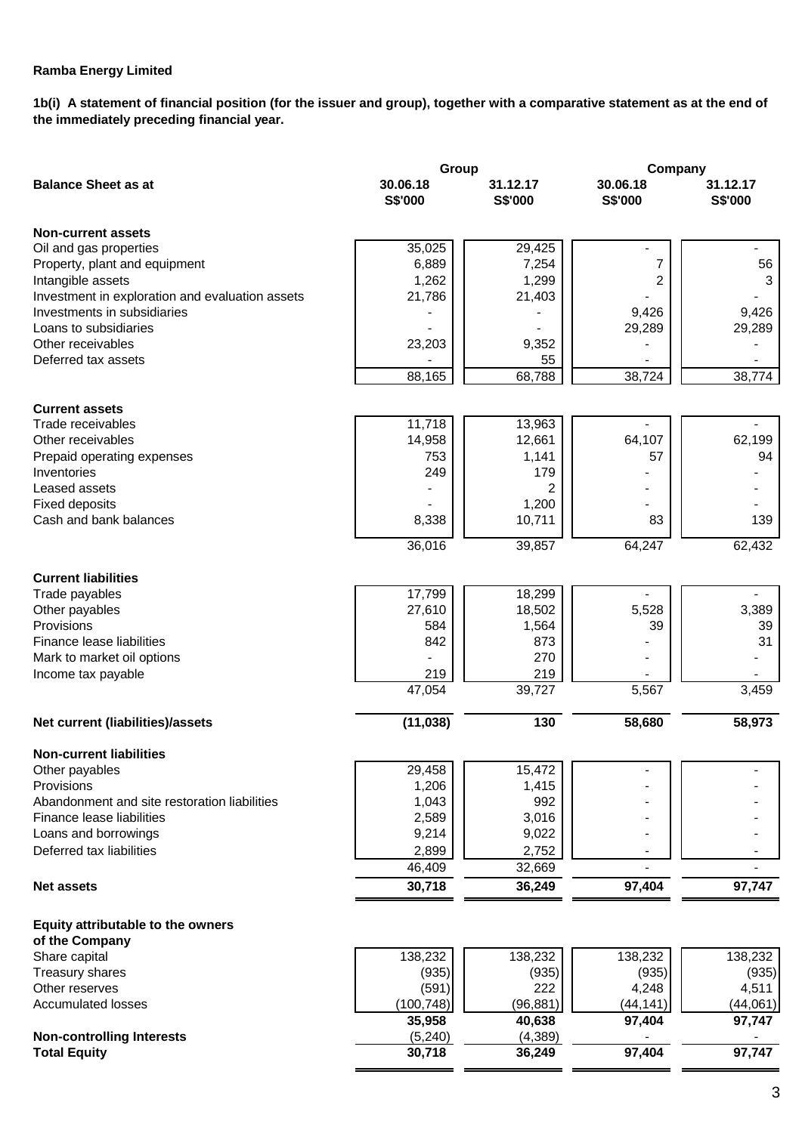**1b(i) A statement of financial position (for the issuer and group), together with a comparative statement as at the end of the immediately preceding financial year.**

|                                                 | Group               |                     | Company             |                     |  |
|-------------------------------------------------|---------------------|---------------------|---------------------|---------------------|--|
| <b>Balance Sheet as at</b>                      | 30.06.18<br>S\$'000 | 31.12.17<br>S\$'000 | 30.06.18<br>S\$'000 | 31.12.17<br>S\$'000 |  |
| <b>Non-current assets</b>                       |                     |                     |                     |                     |  |
| Oil and gas properties                          | 35,025              | 29,425              |                     |                     |  |
| Property, plant and equipment                   | 6,889               | 7,254               | 7                   | 56                  |  |
| Intangible assets                               | 1,262               | 1,299               | 2                   | 3                   |  |
| Investment in exploration and evaluation assets | 21,786              | 21,403              |                     |                     |  |
| Investments in subsidiaries                     |                     |                     | 9,426               | 9,426               |  |
| Loans to subsidiaries                           |                     |                     | 29,289              | 29,289              |  |
| Other receivables                               | 23,203              | 9,352               |                     |                     |  |
| Deferred tax assets                             |                     | 55                  |                     |                     |  |
|                                                 | 88,165              | 68,788              | 38,724              | 38,774              |  |
| <b>Current assets</b>                           |                     |                     |                     |                     |  |
| Trade receivables                               | 11,718              | 13,963              |                     |                     |  |
| Other receivables                               | 14,958              | 12,661              | 64,107              | 62,199              |  |
| Prepaid operating expenses                      | 753                 | 1,141               | 57                  | 94                  |  |
| Inventories                                     | 249                 | 179                 |                     |                     |  |
| Leased assets                                   |                     | 2                   |                     |                     |  |
| <b>Fixed deposits</b>                           |                     | 1,200               |                     |                     |  |
| Cash and bank balances                          | 8,338               | 10,711              | 83                  | 139                 |  |
|                                                 | 36,016              | 39,857              | 64,247              | 62,432              |  |
| <b>Current liabilities</b>                      |                     |                     |                     |                     |  |
| Trade payables                                  | 17,799              | 18,299              |                     |                     |  |
| Other payables                                  | 27,610              | 18,502              | 5,528               | 3,389               |  |
| Provisions                                      | 584                 | 1,564               | 39                  | 39                  |  |
| Finance lease liabilities                       | 842                 | 873                 |                     | 31                  |  |
| Mark to market oil options                      |                     | 270                 |                     |                     |  |
| Income tax payable                              | 219                 | 219                 |                     |                     |  |
|                                                 | 47,054              | 39,727              | 5,567               | 3,459               |  |
| Net current (liabilities)/assets                | (11, 038)           | 130                 | 58,680              | 58,973              |  |
| <b>Non-current liabilities</b>                  |                     |                     |                     |                     |  |
| Other payables                                  | 29,458              | 15,472              |                     |                     |  |
| Provisions                                      | 1,206               | 1,415               |                     |                     |  |
| Abandonment and site restoration liabilities    | 1,043               | 992                 |                     |                     |  |
| Finance lease liabilities                       | 2,589               | 3,016               |                     |                     |  |
| Loans and borrowings                            | 9,214               | 9,022               |                     |                     |  |
| Deferred tax liabilities                        | 2,899               | 2,752               |                     |                     |  |
|                                                 | 46,409              | 32,669              |                     |                     |  |
| <b>Net assets</b>                               | 30,718              | 36,249              | 97,404              | 97,747              |  |
| Equity attributable to the owners               |                     |                     |                     |                     |  |
| of the Company                                  |                     |                     |                     |                     |  |
| Share capital                                   | 138,232             | 138,232             | 138,232             | 138,232             |  |
| Treasury shares                                 | (935)               | (935)               | (935)               | (935)               |  |
| Other reserves                                  | (591)               | 222                 | 4,248               | 4,511               |  |
| <b>Accumulated losses</b>                       | (100, 748)          | (96, 881)           | (44, 141)           | (44,061)            |  |
|                                                 | 35,958              | 40,638              | 97,404              | 97,747              |  |
| <b>Non-controlling Interests</b>                | (5,240)             | (4, 389)            |                     |                     |  |
| <b>Total Equity</b>                             | 30,718              | 36,249              | 97,404              | 97,747              |  |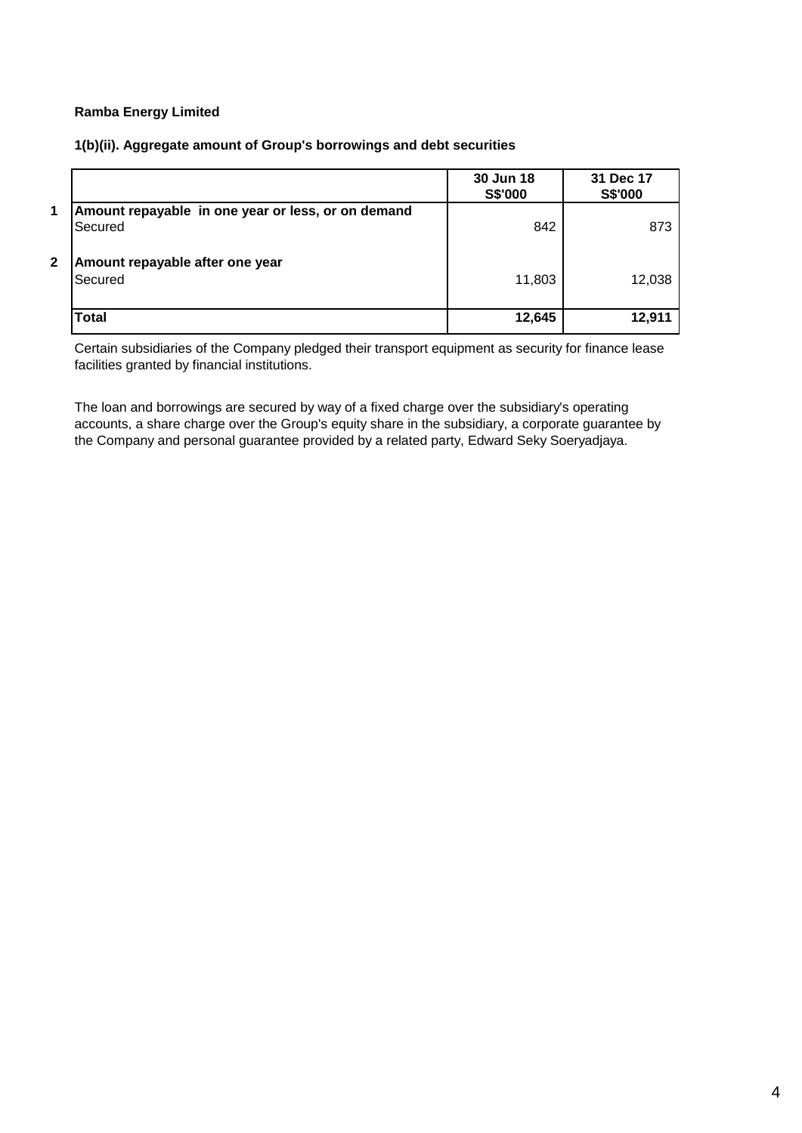## **1(b)(ii). Aggregate amount of Group's borrowings and debt securities**

|              |                                                               | 30 Jun 18<br>S\$'000 | 31 Dec 17<br>S\$'000 |
|--------------|---------------------------------------------------------------|----------------------|----------------------|
| 1            | Amount repayable in one year or less, or on demand<br>Secured | 842                  | 873                  |
| $\mathbf{2}$ | Amount repayable after one year<br><b>Secured</b>             | 11,803               | 12,038               |
|              | <b>Total</b>                                                  | 12,645               | 12,911               |

Certain subsidiaries of the Company pledged their transport equipment as security for finance lease facilities granted by financial institutions.

The loan and borrowings are secured by way of a fixed charge over the subsidiary's operating accounts, a share charge over the Group's equity share in the subsidiary, a corporate guarantee by the Company and personal guarantee provided by a related party, Edward Seky Soeryadjaya.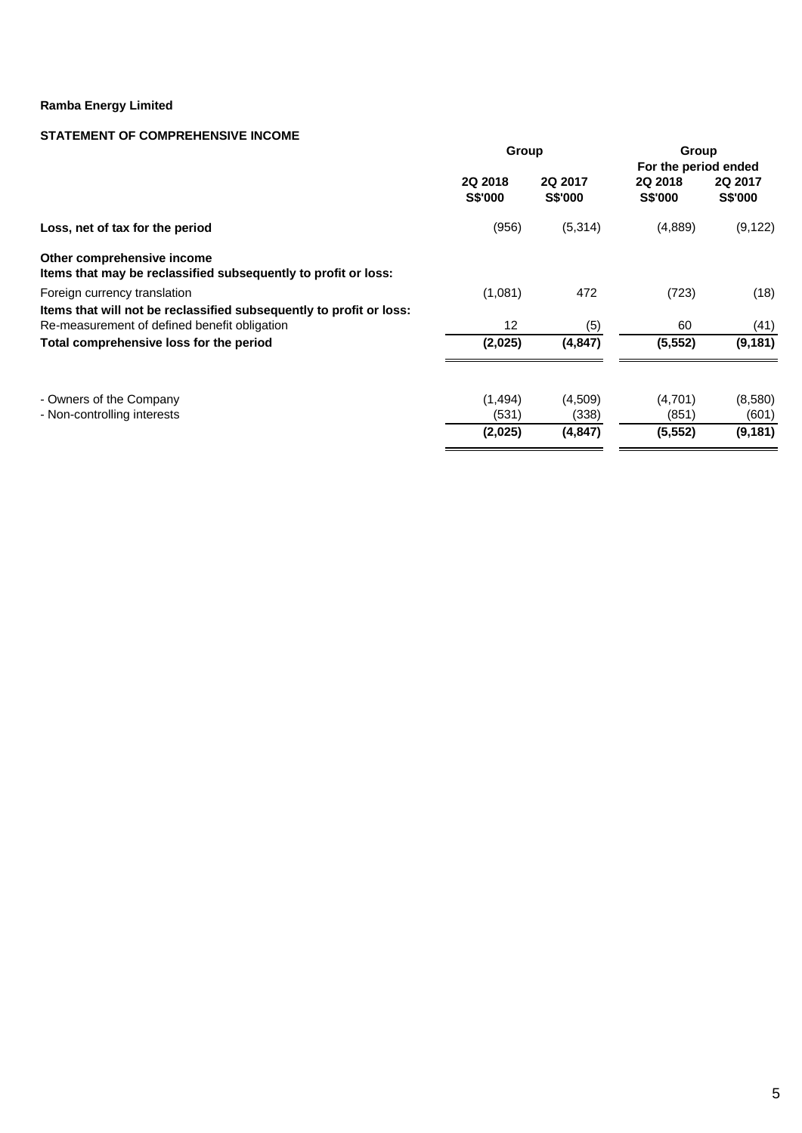## **STATEMENT OF COMPREHENSIVE INCOME**

|                                                                                                                     | Group                     |                           | Group<br>For the period ended |                           |  |
|---------------------------------------------------------------------------------------------------------------------|---------------------------|---------------------------|-------------------------------|---------------------------|--|
|                                                                                                                     | 2Q 2018<br><b>S\$'000</b> | 2Q 2017<br><b>S\$'000</b> | 2Q 2018<br><b>S\$'000</b>     | 2Q 2017<br><b>S\$'000</b> |  |
| Loss, net of tax for the period                                                                                     | (956)                     | (5,314)                   | (4,889)                       | (9, 122)                  |  |
| Other comprehensive income<br>Items that may be reclassified subsequently to profit or loss:                        |                           |                           |                               |                           |  |
| Foreign currency translation                                                                                        | (1,081)                   | 472                       | (723)                         | (18)                      |  |
| Items that will not be reclassified subsequently to profit or loss:<br>Re-measurement of defined benefit obligation | 12                        | (5)                       | 60                            | (41)                      |  |
| Total comprehensive loss for the period                                                                             | (2,025)                   | (4, 847)                  | (5, 552)                      | (9, 181)                  |  |
| - Owners of the Company<br>- Non-controlling interests                                                              | (1,494)<br>(531)          | (4,509)<br>(338)          | (4,701)<br>(851)              | (8,580)<br>(601)          |  |
|                                                                                                                     | (2,025)                   | (4, 847)                  | (5, 552)                      | (9, 181)                  |  |
|                                                                                                                     |                           |                           |                               |                           |  |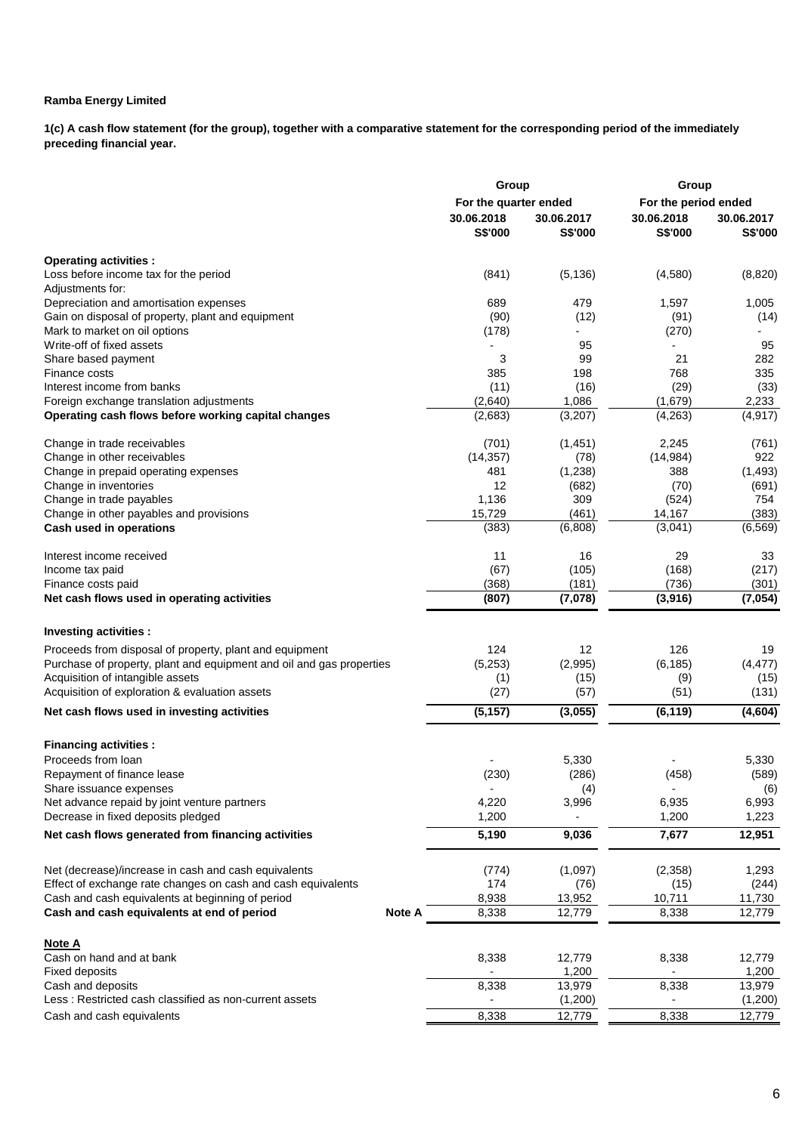**1(c) A cash flow statement (for the group), together with a comparative statement for the corresponding period of the immediately preceding financial year.**

|                                                                      | Group                  |                | Group                |            |
|----------------------------------------------------------------------|------------------------|----------------|----------------------|------------|
|                                                                      | For the quarter ended  |                | For the period ended |            |
|                                                                      | 30.06.2018             | 30.06.2017     | 30.06.2018           | 30.06.2017 |
|                                                                      | <b>S\$'000</b>         | <b>S\$'000</b> | S\$'000              | S\$'000    |
| <b>Operating activities:</b>                                         |                        |                |                      |            |
| Loss before income tax for the period                                | (841)                  | (5, 136)       | (4,580)              | (8,820)    |
| Adjustments for:                                                     |                        |                |                      |            |
| Depreciation and amortisation expenses                               | 689                    | 479            | 1,597                | 1,005      |
| Gain on disposal of property, plant and equipment                    | (90)                   | (12)           | (91)                 | (14)       |
| Mark to market on oil options                                        | (178)                  |                | (270)                |            |
| Write-off of fixed assets                                            |                        | 95             |                      | 95         |
| Share based payment                                                  | 3                      | 99             | 21                   | 282        |
| Finance costs                                                        | 385                    | 198            | 768                  | 335        |
| Interest income from banks                                           | (11)                   | (16)           | (29)                 | (33)       |
| Foreign exchange translation adjustments                             | (2,640)                | 1,086          | (1,679)              | 2,233      |
| Operating cash flows before working capital changes                  | (2,683)                | (3, 207)       | (4, 263)             | (4, 917)   |
| Change in trade receivables                                          | (701)                  | (1,451)        | 2,245                | (761)      |
| Change in other receivables                                          | (14, 357)              | (78)           | (14, 984)            | 922        |
| Change in prepaid operating expenses                                 | 481                    | (1,238)        | 388                  | (1, 493)   |
| Change in inventories                                                | 12                     | (682)          | (70)                 | (691)      |
| Change in trade payables                                             | 1,136                  | 309            | (524)                | 754        |
| Change in other payables and provisions                              | 15,729                 | (461)          | 14,167               | (383)      |
| Cash used in operations                                              | (383)                  | (6,808)        | (3,041)              | (6, 569)   |
| Interest income received                                             | 11                     | 16             | 29                   | 33         |
| Income tax paid                                                      | (67)                   | (105)          | (168)                | (217)      |
| Finance costs paid                                                   | (368)                  | (181)          | (736)                | (301)      |
| Net cash flows used in operating activities                          | (807)                  | (7,078)        | (3,916)              | (7,054)    |
| Investing activities :                                               |                        |                |                      |            |
| Proceeds from disposal of property, plant and equipment              | 124                    | 12             | 126                  | 19         |
| Purchase of property, plant and equipment and oil and gas properties | (5,253)                | (2,995)        | (6, 185)             | (4, 477)   |
| Acquisition of intangible assets                                     | (1)                    | (15)           | (9)                  | (15)       |
| Acquisition of exploration & evaluation assets                       | (27)                   | (57)           | (51)                 | (131)      |
| Net cash flows used in investing activities                          | (5, 157)               | (3,055)        | (6, 119)             | (4,604)    |
|                                                                      |                        |                |                      |            |
| <b>Financing activities:</b>                                         |                        |                |                      |            |
| Proceeds from loan                                                   |                        | 5,330          |                      | 5,330      |
| Repayment of finance lease                                           | (230)                  | (286)          | (458)                | (589)      |
| Share issuance expenses                                              |                        | (4)            | $\blacksquare$       | (6)        |
| Net advance repaid by joint venture partners                         | 4,220                  | 3,996<br>-     | 6,935                | 6,993      |
| Decrease in fixed deposits pledged                                   | 1,200                  |                | 1,200                | 1,223      |
| Net cash flows generated from financing activities                   | 5,190                  | 9,036          | 7,677                | 12,951     |
| Net (decrease)/increase in cash and cash equivalents                 | (774)                  | (1,097)        | (2,358)              | 1,293      |
| Effect of exchange rate changes on cash and cash equivalents         | 174                    | (76)           | (15)                 | (244)      |
| Cash and cash equivalents at beginning of period                     | 8,938                  | 13,952         | 10,711               | 11,730     |
| Cash and cash equivalents at end of period                           | 8,338<br><b>Note A</b> | 12,779         | 8,338                | 12,779     |
| <b>Note A</b>                                                        |                        |                |                      |            |
| Cash on hand and at bank                                             | 8,338                  | 12,779         | 8,338                | 12,779     |
| Fixed deposits                                                       |                        | 1,200          |                      | 1,200      |
| Cash and deposits                                                    | 8,338                  | 13,979         | 8,338                | 13,979     |
| Less: Restricted cash classified as non-current assets               |                        | (1,200)        |                      | (1,200)    |
| Cash and cash equivalents                                            | 8,338                  | 12,779         | 8,338                | 12,779     |
|                                                                      |                        |                |                      |            |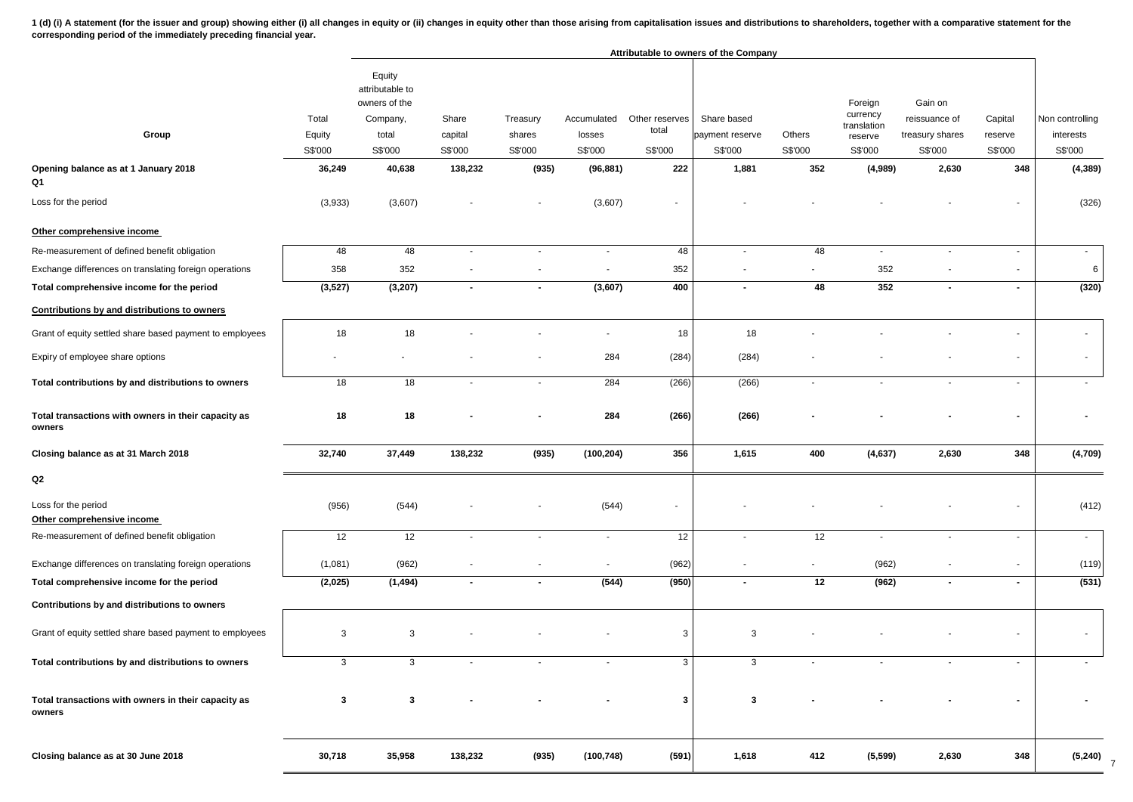1 (d) (i) A statement (for the issuer and group) showing either (i) all changes in equity or (ii) changes in equity or the than those arising from capitalisation issues and distributions to shareholders, together with a co **corresponding period of the immediately preceding financial year.**

|                                                               |                            |                                                                            |                             |                               |                                  |                                    | Attributable to owners of the Company     |                          |                                                          |                                                        |                               |                                         |
|---------------------------------------------------------------|----------------------------|----------------------------------------------------------------------------|-----------------------------|-------------------------------|----------------------------------|------------------------------------|-------------------------------------------|--------------------------|----------------------------------------------------------|--------------------------------------------------------|-------------------------------|-----------------------------------------|
| Group                                                         | Total<br>Equity<br>S\$'000 | Equity<br>attributable to<br>owners of the<br>Company,<br>total<br>S\$'000 | Share<br>capital<br>S\$'000 | Treasury<br>shares<br>S\$'000 | Accumulated<br>losses<br>S\$'000 | Other reserves<br>total<br>S\$'000 | Share based<br>payment reserve<br>S\$'000 | Others<br>S\$'000        | Foreign<br>currency<br>translation<br>reserve<br>S\$'000 | Gain on<br>reissuance of<br>treasury shares<br>S\$'000 | Capital<br>reserve<br>S\$'000 | Non controlling<br>interests<br>S\$'000 |
| Opening balance as at 1 January 2018<br>Q1                    | 36,249                     | 40,638                                                                     | 138,232                     | (935)                         | (96, 881)                        | 222                                | 1,881                                     | 352                      | (4,989)                                                  | 2,630                                                  | 348                           | (4, 389)                                |
| Loss for the period                                           | (3,933)                    | (3,607)                                                                    |                             |                               | (3,607)                          | $\overline{\phantom{a}}$           |                                           |                          |                                                          |                                                        |                               | (326)                                   |
| Other comprehensive income                                    |                            |                                                                            |                             |                               |                                  |                                    |                                           |                          |                                                          |                                                        |                               |                                         |
| Re-measurement of defined benefit obligation                  | 48                         | 48                                                                         | $\mathbf{r}$                | $\sim$                        | $\sim$                           | 48                                 | $\blacksquare$                            | 48                       | $\sim$                                                   | $\blacksquare$                                         | $\sim$                        | $\sim$                                  |
| Exchange differences on translating foreign operations        | 358                        | 352                                                                        |                             |                               |                                  | 352                                | $\overline{\phantom{a}}$                  |                          | 352                                                      |                                                        |                               | 6                                       |
| Total comprehensive income for the period                     | (3, 527)                   | (3, 207)                                                                   | $\blacksquare$              | $\blacksquare$                | (3,607)                          | 400                                | $\overline{\phantom{a}}$                  | 48                       | 352                                                      | $\blacksquare$                                         | $\blacksquare$                | (320)                                   |
| Contributions by and distributions to owners                  |                            |                                                                            |                             |                               |                                  |                                    |                                           |                          |                                                          |                                                        |                               |                                         |
| Grant of equity settled share based payment to employees      | 18                         | 18                                                                         |                             |                               |                                  | 18                                 | 18                                        |                          |                                                          |                                                        |                               |                                         |
| Expiry of employee share options                              |                            |                                                                            |                             |                               | 284                              | (284)                              | (284)                                     |                          |                                                          |                                                        |                               | $\overline{\phantom{a}}$                |
| Total contributions by and distributions to owners            | 18                         | 18                                                                         | $\blacksquare$              | $\sim$                        | 284                              | (266)                              | (266)                                     | $\blacksquare$           | $\sim$                                                   | $\overline{\phantom{a}}$                               | $\sim$                        | $\blacksquare$                          |
| Total transactions with owners in their capacity as<br>owners | 18                         | 18                                                                         |                             |                               | 284                              | (266)                              | (266)                                     |                          |                                                          |                                                        | $\blacksquare$                |                                         |
| Closing balance as at 31 March 2018                           | 32,740                     | 37,449                                                                     | 138,232                     | (935)                         | (100, 204)                       | 356                                | 1,615                                     | 400                      | (4, 637)                                                 | 2,630                                                  | 348                           | (4,709)                                 |
| Q2                                                            |                            |                                                                            |                             |                               |                                  |                                    |                                           |                          |                                                          |                                                        |                               |                                         |
| Loss for the period<br>Other comprehensive income             | (956)                      | (544)                                                                      |                             |                               | (544)                            | $\overline{\phantom{a}}$           |                                           |                          |                                                          |                                                        |                               | (412)                                   |
| Re-measurement of defined benefit obligation                  | 12                         | 12                                                                         | $\sim$                      | $\overline{\phantom{a}}$      | $\blacksquare$                   | 12                                 | $\blacksquare$                            | 12                       | $\overline{\phantom{a}}$                                 | $\blacksquare$                                         | $\sim$                        | $\sim$                                  |
| Exchange differences on translating foreign operations        | (1,081)                    | (962)                                                                      | $\overline{\phantom{a}}$    | ٠                             | $\sim$                           | (962)                              | $\blacksquare$                            | $\overline{\phantom{a}}$ | (962)                                                    | $\blacksquare$                                         | $\sim$                        | (119)                                   |
| Total comprehensive income for the period                     | (2,025)                    | (1, 494)                                                                   | $\sim$                      | $\blacksquare$                | (544)                            | (950)                              |                                           | 12                       | (962)                                                    | $\blacksquare$                                         | $\blacksquare$                | (531)                                   |
| Contributions by and distributions to owners                  |                            |                                                                            |                             |                               |                                  |                                    |                                           |                          |                                                          |                                                        |                               |                                         |
| Grant of equity settled share based payment to employees      | 3                          | 3                                                                          |                             |                               |                                  | 3                                  | 3                                         |                          |                                                          |                                                        |                               | $\sim$                                  |
| Total contributions by and distributions to owners            | 3                          | 3                                                                          |                             |                               |                                  | 3                                  | 3                                         |                          |                                                          |                                                        |                               |                                         |
| Total transactions with owners in their capacity as<br>owners | 3                          | 3                                                                          |                             |                               |                                  | 3                                  | 3                                         |                          |                                                          |                                                        |                               |                                         |
| Closing balance as at 30 June 2018                            | 30,718                     | 35,958                                                                     | 138,232                     | (935)                         | (100, 748)                       | (591)                              | 1,618                                     | 412                      | (5, 599)                                                 | 2,630                                                  | 348                           | $(5,240)$ 7                             |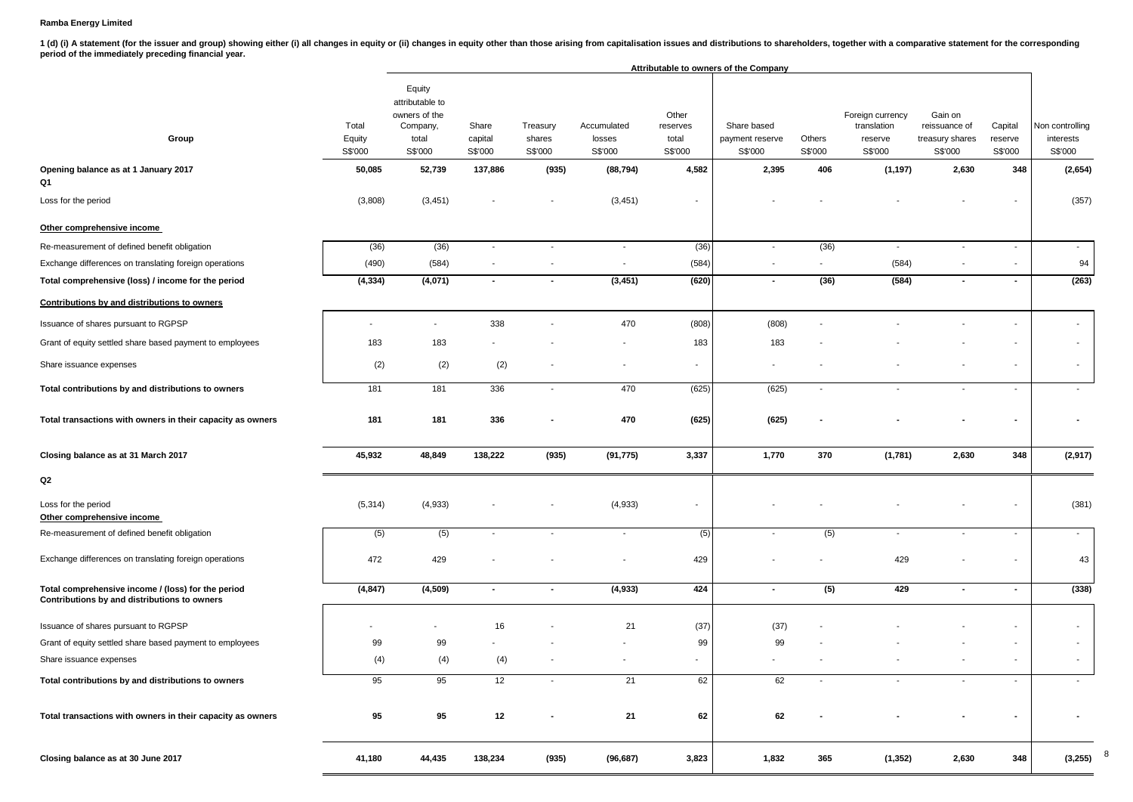1 (d) (i) A statement (for the issuer and group) showing either (i) all changes in equity or (ii) changes in equity other than those arising from capitalisation issues and distributions to shareholders, together with a com **period of the immediately preceding financial year.**

|                                                                                                    |                            |                                                                            |                             |                               |                                  |                                       | Attributable to owners of the Company     |                   |                                                       |                                                        |                               |                                         |
|----------------------------------------------------------------------------------------------------|----------------------------|----------------------------------------------------------------------------|-----------------------------|-------------------------------|----------------------------------|---------------------------------------|-------------------------------------------|-------------------|-------------------------------------------------------|--------------------------------------------------------|-------------------------------|-----------------------------------------|
| Group                                                                                              | Total<br>Equity<br>S\$'000 | Equity<br>attributable to<br>owners of the<br>Company,<br>total<br>S\$'000 | Share<br>capital<br>S\$'000 | Treasury<br>shares<br>S\$'000 | Accumulated<br>losses<br>S\$'000 | Other<br>reserves<br>total<br>S\$'000 | Share based<br>payment reserve<br>S\$'000 | Others<br>S\$'000 | Foreign currency<br>translation<br>reserve<br>S\$'000 | Gain on<br>reissuance of<br>treasury shares<br>S\$'000 | Capital<br>reserve<br>S\$'000 | Non controlling<br>interests<br>S\$'000 |
| Opening balance as at 1 January 2017<br>Q1                                                         | 50,085                     | 52,739                                                                     | 137,886                     | (935)                         | (88, 794)                        | 4,582                                 | 2,395                                     | 406               | (1, 197)                                              | 2,630                                                  | 348                           | (2,654)                                 |
| Loss for the period                                                                                | (3,808)                    | (3, 451)                                                                   |                             | $\qquad \qquad \blacksquare$  | (3, 451)                         | $\overline{\phantom{a}}$              |                                           |                   |                                                       |                                                        |                               | (357)                                   |
| Other comprehensive income                                                                         |                            |                                                                            |                             |                               |                                  |                                       |                                           |                   |                                                       |                                                        |                               |                                         |
| Re-measurement of defined benefit obligation                                                       | (36)                       | (36)                                                                       | $\sim$                      | $\overline{\phantom{a}}$      | $\sim$                           | (36)                                  | $\sim$                                    | (36)              | $\sim$                                                | $\sim$                                                 | $\sim$                        | $\sim$                                  |
| Exchange differences on translating foreign operations                                             | (490)                      | (584)                                                                      |                             | $\blacksquare$                | $\overline{\phantom{a}}$         | (584)                                 | $\overline{\phantom{a}}$                  | $\blacksquare$    | (584)                                                 |                                                        |                               | 94                                      |
| Total comprehensive (loss) / income for the period                                                 | (4, 334)                   | (4,071)                                                                    | $\sim$                      | $\blacksquare$                | (3, 451)                         | (620)                                 | $\sim$                                    | (36)              | (584)                                                 | $\sim$                                                 | $\sim$                        | (263)                                   |
| Contributions by and distributions to owners                                                       |                            |                                                                            |                             |                               |                                  |                                       |                                           |                   |                                                       |                                                        |                               |                                         |
| Issuance of shares pursuant to RGPSP                                                               |                            | $\sim$                                                                     | 338                         |                               | 470                              | (808)                                 | (808)                                     |                   |                                                       |                                                        | $\overline{\phantom{a}}$      | $\overline{\phantom{a}}$                |
| Grant of equity settled share based payment to employees                                           | 183                        | 183                                                                        |                             |                               |                                  | 183                                   | 183                                       |                   |                                                       |                                                        |                               | $\sim$                                  |
| Share issuance expenses                                                                            | (2)                        | (2)                                                                        | (2)                         |                               |                                  | $\blacksquare$                        |                                           |                   |                                                       |                                                        | $\blacksquare$                | $\overline{\phantom{a}}$                |
| Total contributions by and distributions to owners                                                 | 181                        | 181                                                                        | 336                         | $\overline{\phantom{a}}$      | 470                              | (625)                                 | (625)                                     | $\blacksquare$    |                                                       | $\sim$                                                 | $\overline{\phantom{a}}$      |                                         |
| Total transactions with owners in their capacity as owners                                         | 181                        | 181                                                                        | 336                         |                               | 470                              | (625)                                 | (625)                                     |                   |                                                       |                                                        | $\blacksquare$                |                                         |
| Closing balance as at 31 March 2017                                                                | 45,932                     | 48,849                                                                     | 138,222                     | (935)                         | (91, 775)                        | 3,337                                 | 1,770                                     | 370               | (1,781)                                               | 2,630                                                  | 348                           | (2,917)                                 |
| Q2                                                                                                 |                            |                                                                            |                             |                               |                                  |                                       |                                           |                   |                                                       |                                                        |                               |                                         |
| Loss for the period<br>Other comprehensive income                                                  | (5, 314)                   | (4,933)                                                                    |                             |                               | (4,933)                          | $\overline{\phantom{a}}$              |                                           |                   |                                                       |                                                        |                               | (381)                                   |
| Re-measurement of defined benefit obligation                                                       | (5)                        | (5)                                                                        | $\overline{\phantom{a}}$    | $\overline{\phantom{a}}$      | $\sim$                           | (5)                                   |                                           | (5)               | $\blacksquare$                                        | $\overline{\phantom{a}}$                               | $\sim$                        | $\sim$                                  |
| Exchange differences on translating foreign operations                                             | 472                        | 429                                                                        |                             |                               |                                  | 429                                   |                                           |                   | 429                                                   |                                                        |                               | 43                                      |
| Total comprehensive income / (loss) for the period<br>Contributions by and distributions to owners | (4, 847)                   | (4,509)                                                                    | $\blacksquare$              | $\blacksquare$                | (4,933)                          | 424                                   | $\sim$                                    | (5)               | 429                                                   | $\blacksquare$                                         | $\blacksquare$                | (338)                                   |
| Issuance of shares pursuant to RGPSP                                                               |                            | ٠                                                                          | 16                          |                               | 21                               | (37)                                  | (37)                                      |                   |                                                       |                                                        | $\overline{\phantom{a}}$      |                                         |
| Grant of equity settled share based payment to employees                                           | 99                         | 99                                                                         |                             |                               |                                  | 99                                    | 99                                        |                   |                                                       |                                                        | $\overline{\phantom{a}}$      |                                         |
| Share issuance expenses                                                                            | (4)                        | (4)                                                                        | (4)                         |                               |                                  | ٠                                     |                                           |                   |                                                       |                                                        | $\overline{\phantom{a}}$      |                                         |
| Total contributions by and distributions to owners                                                 | 95                         | 95                                                                         | 12                          |                               | 21                               | 62                                    | 62                                        |                   |                                                       |                                                        | $\blacksquare$                |                                         |
| Total transactions with owners in their capacity as owners                                         | 95                         | 95                                                                         | 12                          | ۰                             | 21                               | 62                                    | 62                                        |                   |                                                       |                                                        | $\blacksquare$                |                                         |
| Closing balance as at 30 June 2017                                                                 | 41,180                     | 44,435                                                                     | 138,234                     | (935)                         | (96, 687)                        | 3,823                                 | 1,832                                     | 365               | (1, 352)                                              | 2,630                                                  | 348                           | (3,255)                                 |

8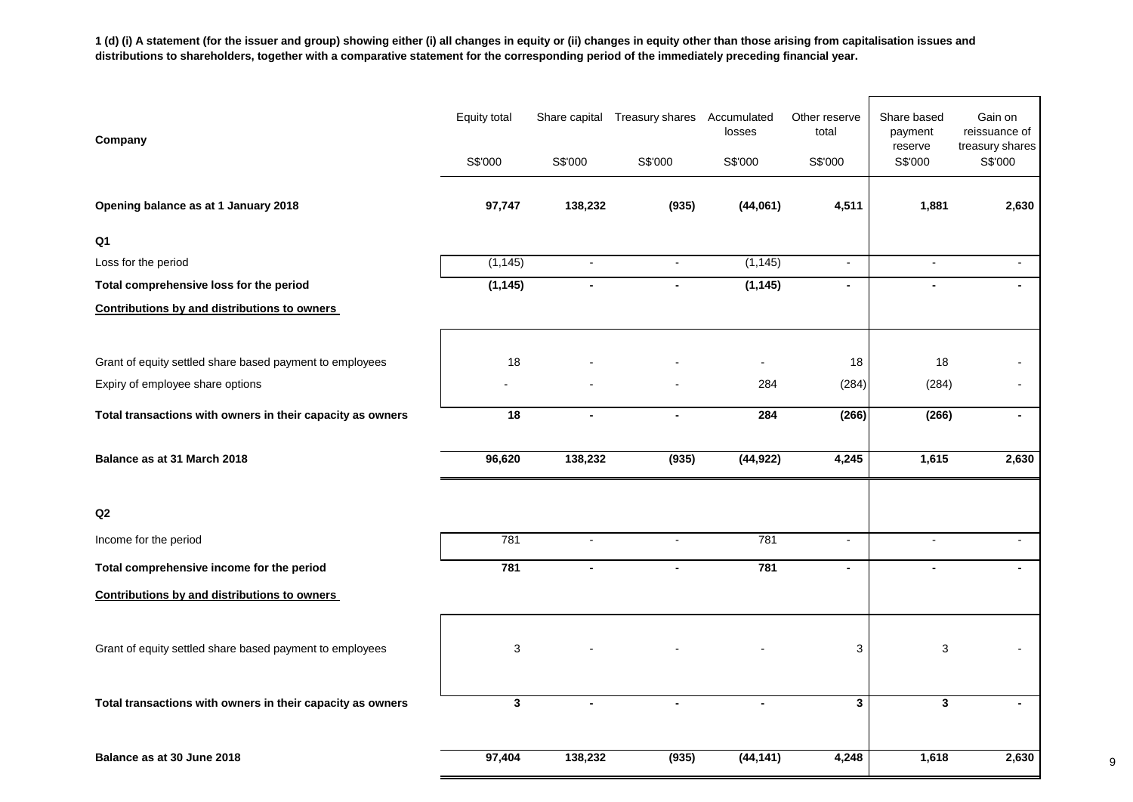**1 (d) (i) A statement (for the issuer and group) showing either (i) all changes in equity or (ii) changes in equity other than those arising from capitalisation issues and distributions to shareholders, together with a comparative statement for the corresponding period of the immediately preceding financial year.**

| Company                                                    | <b>Equity total</b> |                | Share capital Treasury shares | Accumulated<br>losses    | Other reserve<br>total | Share based<br>payment<br>reserve | Gain on<br>reissuance of<br>treasury shares |
|------------------------------------------------------------|---------------------|----------------|-------------------------------|--------------------------|------------------------|-----------------------------------|---------------------------------------------|
|                                                            | S\$'000             | S\$'000        | S\$'000                       | S\$'000                  | S\$'000                | S\$'000                           | S\$'000                                     |
| Opening balance as at 1 January 2018                       | 97,747              | 138,232        | (935)                         | (44,061)                 | 4,511                  | 1,881                             | 2,630                                       |
| Q <sub>1</sub>                                             |                     |                |                               |                          |                        |                                   |                                             |
| Loss for the period                                        | (1, 145)            | $\blacksquare$ | $\overline{\phantom{a}}$      | (1, 145)                 | $\blacksquare$         | $\blacksquare$                    |                                             |
| Total comprehensive loss for the period                    | (1, 145)            | $\blacksquare$ | $\blacksquare$                | (1, 145)                 | $\blacksquare$         | $\blacksquare$                    | $\blacksquare$                              |
| <b>Contributions by and distributions to owners</b>        |                     |                |                               |                          |                        |                                   |                                             |
|                                                            |                     |                |                               |                          |                        |                                   |                                             |
| Grant of equity settled share based payment to employees   | 18                  |                |                               | $\overline{\phantom{a}}$ | 18                     | 18                                |                                             |
| Expiry of employee share options                           |                     |                |                               | 284                      | (284)                  | (284)                             |                                             |
| Total transactions with owners in their capacity as owners | 18                  | $\blacksquare$ | $\blacksquare$                | 284                      | (266)                  | (266)                             | $\blacksquare$                              |
| Balance as at 31 March 2018                                | 96,620              | 138,232        | (935)                         | (44, 922)                | 4,245                  | 1,615                             | 2,630                                       |
|                                                            |                     |                |                               |                          |                        |                                   |                                             |
| Q2                                                         |                     |                |                               |                          |                        |                                   |                                             |
| Income for the period                                      | 781                 | $\blacksquare$ | $\overline{\phantom{a}}$      | 781                      | $\blacksquare$         | $\overline{\phantom{a}}$          |                                             |
| Total comprehensive income for the period                  | 781                 | $\blacksquare$ | $\blacksquare$                | 781                      | $\blacksquare$         | $\blacksquare$                    |                                             |
| <b>Contributions by and distributions to owners</b>        |                     |                |                               |                          |                        |                                   |                                             |
|                                                            |                     |                |                               |                          |                        |                                   |                                             |
| Grant of equity settled share based payment to employees   | 3                   |                |                               |                          | 3                      | 3                                 |                                             |
| Total transactions with owners in their capacity as owners | $\mathbf{3}$        | $\blacksquare$ |                               |                          | $\mathbf{3}$           | 3                                 |                                             |
| Balance as at 30 June 2018                                 | 97,404              | 138,232        | (935)                         | (44, 141)                | 4,248                  | 1,618                             | 2,630                                       |

9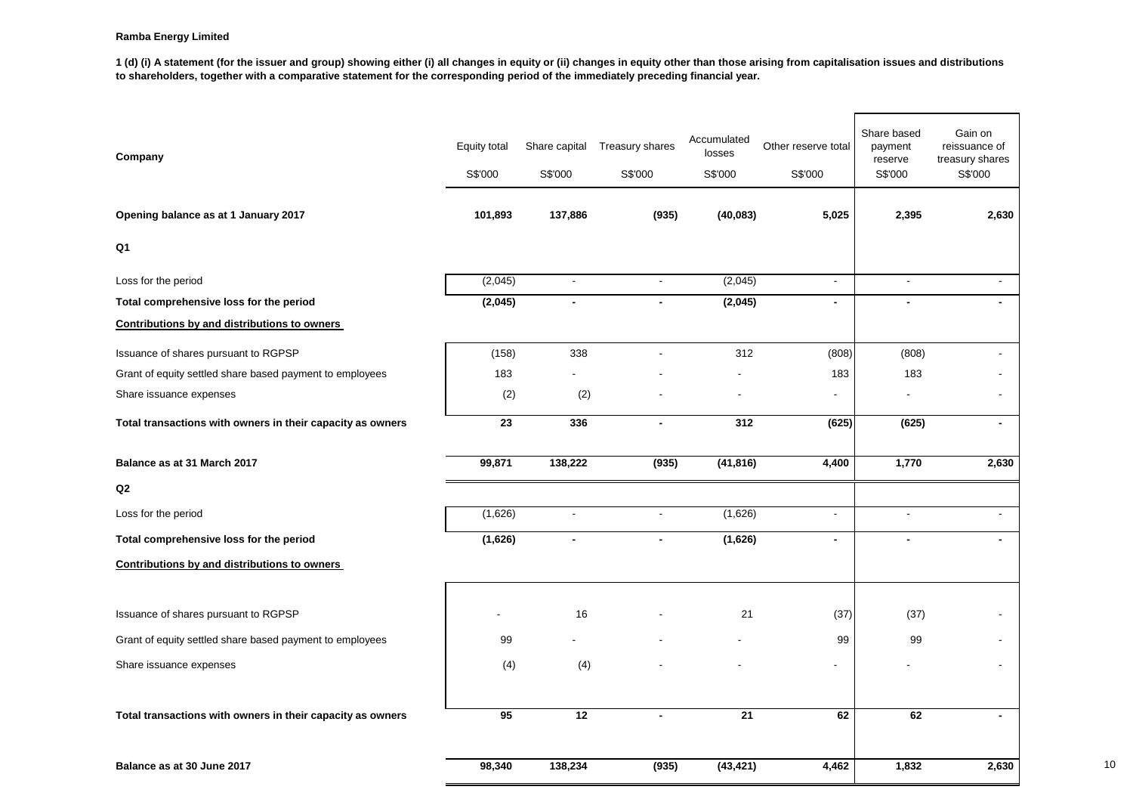**1 (d) (i) A statement (for the issuer and group) showing either (i) all changes in equity or (ii) changes in equity other than those arising from capitalisation issues and distributions to shareholders, together with a comparative statement for the corresponding period of the immediately preceding financial year.**

| Company                                                    | Equity total<br>S\$'000 | Share capital<br>S\$'000 | Treasury shares<br>S\$'000 | Accumulated<br>losses<br>S\$'000 | Other reserve total<br>S\$'000 | Share based<br>payment<br>reserve<br>S\$'000 | Gain on<br>reissuance of<br>treasury shares<br>S\$'000 |
|------------------------------------------------------------|-------------------------|--------------------------|----------------------------|----------------------------------|--------------------------------|----------------------------------------------|--------------------------------------------------------|
| Opening balance as at 1 January 2017                       | 101,893                 | 137,886                  | (935)                      | (40, 083)                        | 5,025                          | 2,395                                        | 2,630                                                  |
| Q1                                                         |                         |                          |                            |                                  |                                |                                              |                                                        |
| Loss for the period                                        | (2,045)                 | $\sim$                   | $\mathbf{r}$               | (2,045)                          | $\overline{a}$                 | $\sim$                                       | $\overline{\phantom{a}}$                               |
| Total comprehensive loss for the period                    | (2,045)                 | $\blacksquare$           |                            | (2,045)                          | $\overline{a}$                 | $\blacksquare$                               |                                                        |
| Contributions by and distributions to owners               |                         |                          |                            |                                  |                                |                                              |                                                        |
| Issuance of shares pursuant to RGPSP                       | (158)                   | 338                      |                            | 312                              | (808)                          | (808)                                        |                                                        |
| Grant of equity settled share based payment to employees   | 183                     |                          |                            |                                  | 183                            | 183                                          |                                                        |
| Share issuance expenses                                    | (2)                     | (2)                      |                            |                                  | $\blacksquare$                 | ÷.                                           |                                                        |
| Total transactions with owners in their capacity as owners | 23                      | 336                      |                            | 312                              | (625)                          | (625)                                        |                                                        |
| Balance as at 31 March 2017                                | 99,871                  | 138,222                  | (935)                      | (41, 816)                        | 4,400                          | 1,770                                        | 2,630                                                  |
| Q2                                                         |                         |                          |                            |                                  |                                |                                              |                                                        |
| Loss for the period                                        | (1,626)                 | $\blacksquare$           |                            | (1,626)                          | $\overline{a}$                 | $\blacksquare$                               | ٠                                                      |
| Total comprehensive loss for the period                    | (1,626)                 | $\blacksquare$           |                            | (1,626)                          | $\blacksquare$                 | $\blacksquare$                               | $\blacksquare$                                         |
| <b>Contributions by and distributions to owners</b>        |                         |                          |                            |                                  |                                |                                              |                                                        |
|                                                            |                         |                          |                            |                                  |                                |                                              |                                                        |
| Issuance of shares pursuant to RGPSP                       |                         | 16                       |                            | 21                               | (37)                           | (37)                                         |                                                        |
| Grant of equity settled share based payment to employees   | 99                      |                          |                            |                                  | 99                             | 99                                           |                                                        |
| Share issuance expenses                                    | (4)                     | (4)                      |                            |                                  | $\blacksquare$                 |                                              |                                                        |
| Total transactions with owners in their capacity as owners | 95                      | 12                       |                            | 21                               | 62                             | 62                                           | $\blacksquare$                                         |
| Balance as at 30 June 2017                                 | 98,340                  | 138,234                  | (935)                      | (43, 421)                        | 4.462                          | 1,832                                        | 2,630                                                  |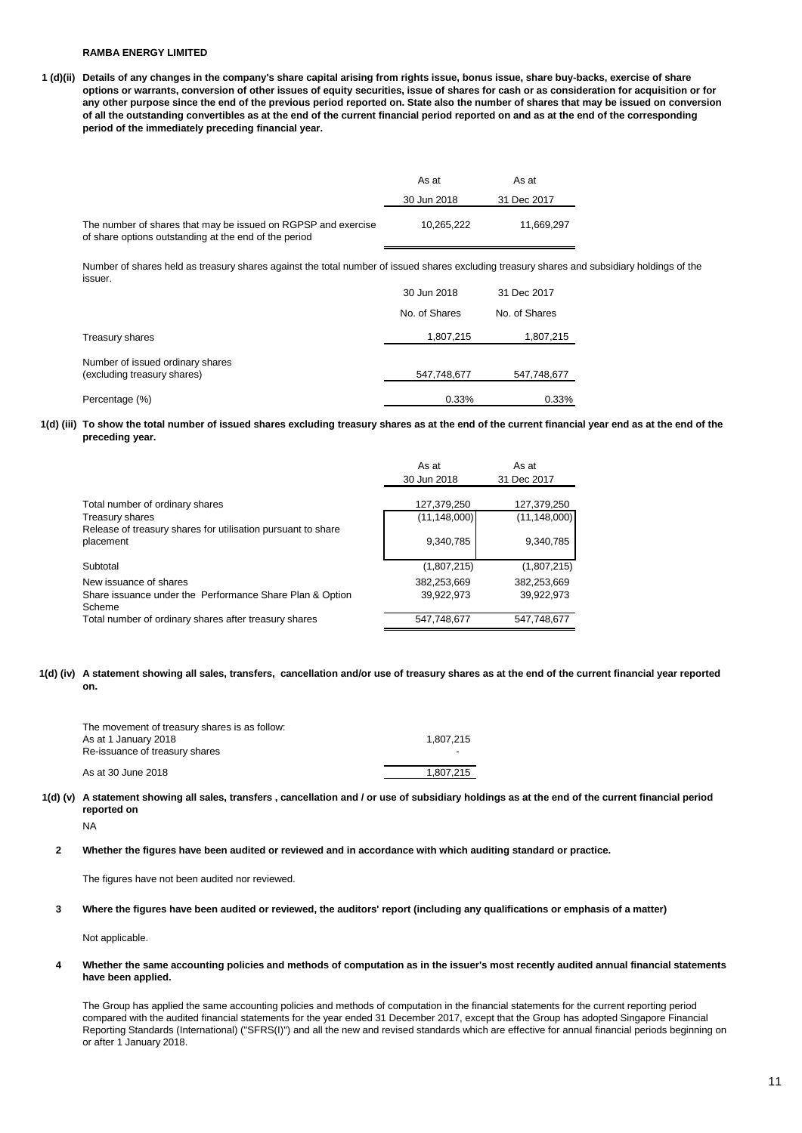### **RAMBA ENERGY LIMITED**

**1 (d)(ii) Details of any changes in the company's share capital arising from rights issue, bonus issue, share buy-backs, exercise of share options or warrants, conversion of other issues of equity securities, issue of shares for cash or as consideration for acquisition or for any other purpose since the end of the previous period reported on. State also the number of shares that may be issued on conversion of all the outstanding convertibles as at the end of the current financial period reported on and as at the end of the corresponding period of the immediately preceding financial year.**

|                                                                                                                        | As at       | As at       |
|------------------------------------------------------------------------------------------------------------------------|-------------|-------------|
|                                                                                                                        | 30 Jun 2018 | 31 Dec 2017 |
| The number of shares that may be issued on RGPSP and exercise<br>of share options outstanding at the end of the period | 10.265.222  | 11.669.297  |

Number of shares held as treasury shares against the total number of issued shares excluding treasury shares and subsidiary holdings of the issuer.

|                                                                 | 30 Jun 2018   | 31 Dec 2017   |
|-----------------------------------------------------------------|---------------|---------------|
|                                                                 | No. of Shares | No. of Shares |
| Treasury shares                                                 | 1,807,215     | 1,807,215     |
| Number of issued ordinary shares<br>(excluding treasury shares) | 547,748,677   | 547,748,677   |
| Percentage (%)                                                  | 0.33%         | 0.33%         |

**1(d) (iii) To show the total number of issued shares excluding treasury shares as at the end of the current financial year end as at the end of the preceding year.**

|                                                                           | As at          | As at          |
|---------------------------------------------------------------------------|----------------|----------------|
|                                                                           | 30 Jun 2018    | 31 Dec 2017    |
|                                                                           |                |                |
| Total number of ordinary shares                                           | 127,379,250    | 127,379,250    |
| Treasury shares                                                           | (11, 148, 000) | (11, 148, 000) |
| Release of treasury shares for utilisation pursuant to share<br>placement | 9,340,785      | 9,340,785      |
| Subtotal                                                                  | (1,807,215)    | (1,807,215)    |
| New issuance of shares                                                    | 382,253,669    | 382,253,669    |
| Share issuance under the Performance Share Plan & Option<br>Scheme        | 39,922,973     | 39,922,973     |
| Total number of ordinary shares after treasury shares                     | 547.748.677    | 547,748,677    |

**1(d) (iv) A statement showing all sales, transfers, cancellation and/or use of treasury shares as at the end of the current financial year reported on.**

| The movement of treasury shares is as follow:<br>As at 1 January 2018<br>Re-issuance of treasury shares | 1.807.215<br>$\overline{\phantom{0}}$ |
|---------------------------------------------------------------------------------------------------------|---------------------------------------|
| As at 30 June 2018                                                                                      | 1.807.215                             |

**1(d) (v) A statement showing all sales, transfers , cancellation and / or use of subsidiary holdings as at the end of the current financial period reported on**

NA

**2 Whether the figures have been audited or reviewed and in accordance with which auditing standard or practice.**

The figures have not been audited nor reviewed.

**3 Where the figures have been audited or reviewed, the auditors' report (including any qualifications or emphasis of a matter)**

Not applicable.

**4 Whether the same accounting policies and methods of computation as in the issuer's most recently audited annual financial statements have been applied.**

The Group has applied the same accounting policies and methods of computation in the financial statements for the current reporting period compared with the audited financial statements for the year ended 31 December 2017, except that the Group has adopted Singapore Financial Reporting Standards (International) ("SFRS(I)") and all the new and revised standards which are effective for annual financial periods beginning on or after 1 January 2018.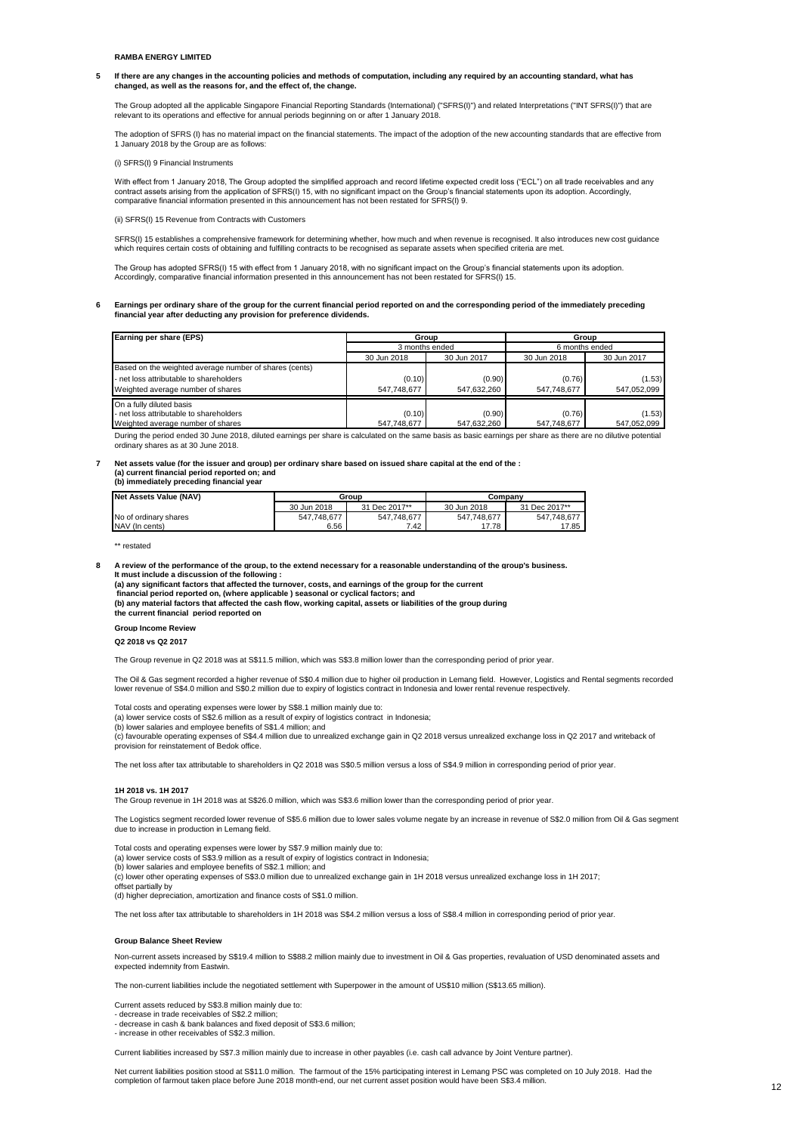**5 If there are any changes in the accounting policies and methods of computation, including any required by an accounting standard, what has changed, as well as the reasons for, and the effect of, the change.**

The Group adopted all the applicable Singapore Financial Reporting Standards (International) ("SFRS(I)") and related Interpretations ("INT SFRS(I)") that are relevant to its operations and effective for annual periods beginning on or after 1 January 2018.

The adoption of SFRS (I) has no material impact on the financial statements. The impact of the adoption of the new accounting standards that are effective from 1 January 2018 by the Group are as follows:

(i) SFRS(I) 9 Financial Instruments

With effect from 1 January 2018, The Group adopted the simplified approach and record lifetime expected credit loss ("ECL") on all trade receivables and any contract assets arising from the application of SFRS(I) 15, with no significant impact on the Group's financial statements upon its adoption. Accordingly,<br>comparative financial information presented in this announcement ha

(ii) SFRS(I) 15 Revenue from Contracts with Customers

SFRS(I) 15 establishes a comprehensive framework for determining whether, how much and when revenue is recognised. It also introduces new cost guidance which requires certain costs of obtaining and fulfilling contracts to be recognised as separate assets when specified criteria are met.

The Group has adopted SFRS(I) 15 with effect from 1 January 2018, with no significant impact on the Group's financial statements upon its adoption. Accordingly, comparative financial information presented in this announcement has not been restated for SFRS(I) 15.

**6 Earnings per ordinary share of the group for the current financial period reported on and the corresponding period of the immediately preceding financial year after deducting any provision for preference dividends.**

| Earning per share (EPS)                                | Group          |             | Group          |             |
|--------------------------------------------------------|----------------|-------------|----------------|-------------|
|                                                        | 3 months ended |             | 6 months ended |             |
|                                                        | 30 Jun 2018    | 30 Jun 2017 | 30 Jun 2018    | 30 Jun 2017 |
| Based on the weighted average number of shares (cents) |                |             |                |             |
| - net loss attributable to shareholders                | (0.10)         | (0.90)      | (0.76)         | (1.53)      |
| Weighted average number of shares                      | 547.748.677    | 547.632.260 | 547.748.677    | 547.052.099 |
| On a fully diluted basis                               |                |             |                |             |
| - net loss attributable to shareholders                | (0.10)         | (0.90)      | (0.76)         | (1.53)      |
| Weighted average number of shares                      | 547.748.677    | 547.632.260 | 547,748,677    | 547,052,099 |

During the period ended 30 June 2018, diluted earnings per share is calculated on the same basis as basic earnings per share as there are no dilutive potential ordinary shares as at 30 June 2018.

#### **7 Net assets value (for the issuer and group) per ordinary share based on issued share capital at the end of the : (a) current financial period reported on; and**

**(b) immediately preceding financial year** 

| <b>Net Assets Value (NAV)</b> | Group       |               | Company     |               |
|-------------------------------|-------------|---------------|-------------|---------------|
|                               | 30 Jun 2018 | 31 Dec 2017** | 30 Jun 2018 | 31 Dec 2017** |
| No of ordinary shares         | 547.748.677 | 547.748.677   | 547.748.677 | 547.748.677   |
| NAV (In cents)                | 6.56        | 7.42          | 17.78       | 17.85         |

\*\* restated

**8 A review of the performance of the group, to the extend necessary for a reasonable understanding of the group's business. It must include a discussion of the following :** 

**(a) any significant factors that affected the turnover, costs, and earnings of the group for the current**

 **financial period reported on, (where applicable ) seasonal or cyclical factors; and**

**(b) any material factors that affected the cash flow, working capital, assets or liabilities of the group during the current financial period reported on** 

**Group Income Review** 

#### **Q2 2018 vs Q2 2017**

The Group revenue in Q2 2018 was at S\$11.5 million, which was S\$3.8 million lower than the corresponding period of prior year.

The Oil & Gas segment recorded a higher revenue of S\$0.4 million due to higher oil production in Lemang field. However, Logistics and Rental segments recorded lower revenue of S\$4.0 million and S\$0.2 million due to expiry of logistics contract in Indonesia and lower rental revenue respectively.

Total costs and operating expenses were lower by S\$8.1 million mainly due to:

(a) lower service costs of S\$2.6 million as a result of expiry of logistics contract in Indonesia;

(b) lower salaries and employee benefits of S\$1.4 million; and

(c) favourable operating expenses of S\$4.4 million due to unrealized exchange gain in Q2 2018 versus unrealized exchange loss in Q2 2017 and writeback of provision for reinstatement of Bedok office.

The net loss after tax attributable to shareholders in Q2 2018 was S\$0.5 million versus a loss of S\$4.9 million in corresponding period of prior year.

#### **1H 2018 vs. 1H 2017**

The Group revenue in 1H 2018 was at S\$26.0 million, which was S\$3.6 million lower than the corresponding period of prior year.

The Logistics segment recorded lower revenue of S\$5.6 million due to lower sales volume negate by an increase in revenue of S\$2.0 million from Oil & Gas segment due to increase in production in Lemang field.

Total costs and operating expenses were lower by S\$7.9 million mainly due to:

(a) lower service costs of S\$3.9 million as a result of expiry of logistics contract in Indonesia;

(b) lower salaries and employee benefits of S\$2.1 million; and

(c) lower other operating expenses of S\$3.0 million due to unrealized exchange gain in 1H 2018 versus unrealized exchange loss in 1H 2017; offset partially by

(d) higher depreciation, amortization and finance costs of S\$1.0 million.

The net loss after tax attributable to shareholders in 1H 2018 was S\$4.2 million versus a loss of S\$8.4 million in corresponding period of prior year.

#### **Group Balance Sheet Review**

Non-current assets increased by S\$19.4 million to S\$88.2 million mainly due to investment in Oil & Gas properties, revaluation of USD denominated assets and expected indemnity from Eastw

The non-current liabilities include the negotiated settlement with Superpower in the amount of US\$10 million (S\$13.65 million).

Current assets reduced by S\$3.8 million mainly due to:

- decrease in trade receivables of S\$2.2 million;

- decrease in cash & bank balances and fixed deposit of S\$3.6 million;

- increase in other receivables of S\$2.3 million.

Current liabilities increased by S\$7.3 million mainly due to increase in other payables (i.e. cash call advance by Joint Venture partner).

Net current liabilities position stood at S\$11.0 million. The farmout of the 15% participating interest in Lemang PSC was completed on 10 July 2018. Had the<br>completion of farmout taken place before June 2018 month-end, our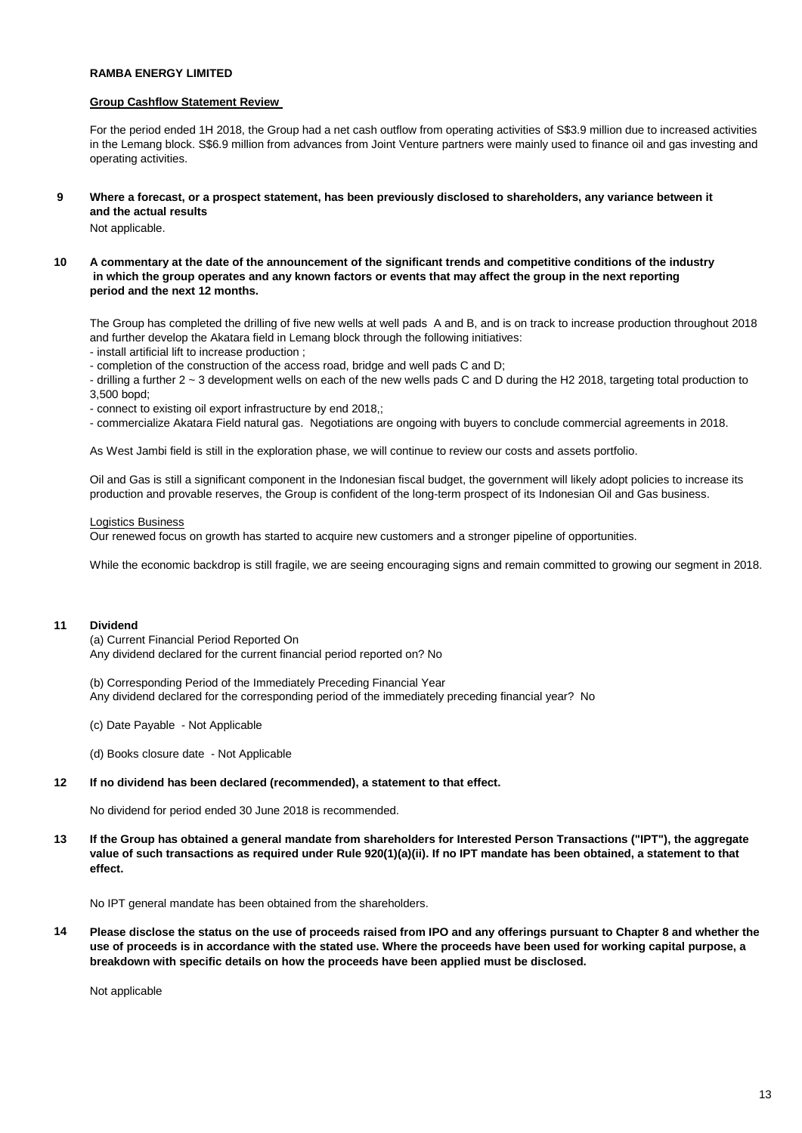### **RAMBA ENERGY LIMITED**

### **Group Cashflow Statement Review**

For the period ended 1H 2018, the Group had a net cash outflow from operating activities of S\$3.9 million due to increased activities in the Lemang block. S\$6.9 million from advances from Joint Venture partners were mainly used to finance oil and gas investing and operating activities.

**9 Where a forecast, or a prospect statement, has been previously disclosed to shareholders, any variance between it and the actual results** 

Not applicable.

**10 A commentary at the date of the announcement of the significant trends and competitive conditions of the industry in which the group operates and any known factors or events that may affect the group in the next reporting period and the next 12 months.** 

The Group has completed the drilling of five new wells at well pads A and B, and is on track to increase production throughout 2018 and further develop the Akatara field in Lemang block through the following initiatives:

- install artificial lift to increase production ;

- completion of the construction of the access road, bridge and well pads C and D;

- drilling a further 2 ~ 3 development wells on each of the new wells pads C and D during the H2 2018, targeting total production to 3,500 bopd;

- connect to existing oil export infrastructure by end 2018,;
- commercialize Akatara Field natural gas. Negotiations are ongoing with buyers to conclude commercial agreements in 2018.

As West Jambi field is still in the exploration phase, we will continue to review our costs and assets portfolio.

Oil and Gas is still a significant component in the Indonesian fiscal budget, the government will likely adopt policies to increase its production and provable reserves, the Group is confident of the long-term prospect of its Indonesian Oil and Gas business.

### Logistics Business

Our renewed focus on growth has started to acquire new customers and a stronger pipeline of opportunities.

While the economic backdrop is still fragile, we are seeing encouraging signs and remain committed to growing our segment in 2018.

### **11 Dividend**

(a) Current Financial Period Reported On Any dividend declared for the current financial period reported on? No

(b) Corresponding Period of the Immediately Preceding Financial Year Any dividend declared for the corresponding period of the immediately preceding financial year? No

- (c) Date Payable Not Applicable
- (d) Books closure date Not Applicable

### **12 If no dividend has been declared (recommended), a statement to that effect.**

No dividend for period ended 30 June 2018 is recommended.

**13 If the Group has obtained a general mandate from shareholders for Interested Person Transactions ("IPT"), the aggregate value of such transactions as required under Rule 920(1)(a)(ii). If no IPT mandate has been obtained, a statement to that effect.**

No IPT general mandate has been obtained from the shareholders.

**14 Please disclose the status on the use of proceeds raised from IPO and any offerings pursuant to Chapter 8 and whether the use of proceeds is in accordance with the stated use. Where the proceeds have been used for working capital purpose, a breakdown with specific details on how the proceeds have been applied must be disclosed.**

Not applicable